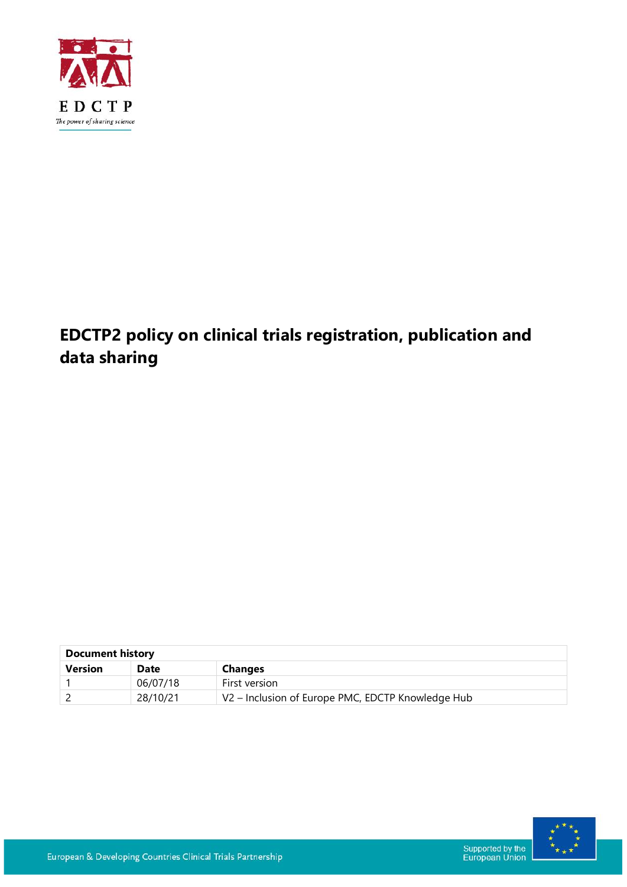

# **EDCTP2 policy on clinical trials registration, publication and data sharing**

| <b>Document history</b> |             |                                                   |  |
|-------------------------|-------------|---------------------------------------------------|--|
| <b>Version</b>          | <b>Date</b> | <b>Changes</b>                                    |  |
|                         | 06/07/18    | First version                                     |  |
|                         | 28/10/21    | V2 - Inclusion of Europe PMC, EDCTP Knowledge Hub |  |

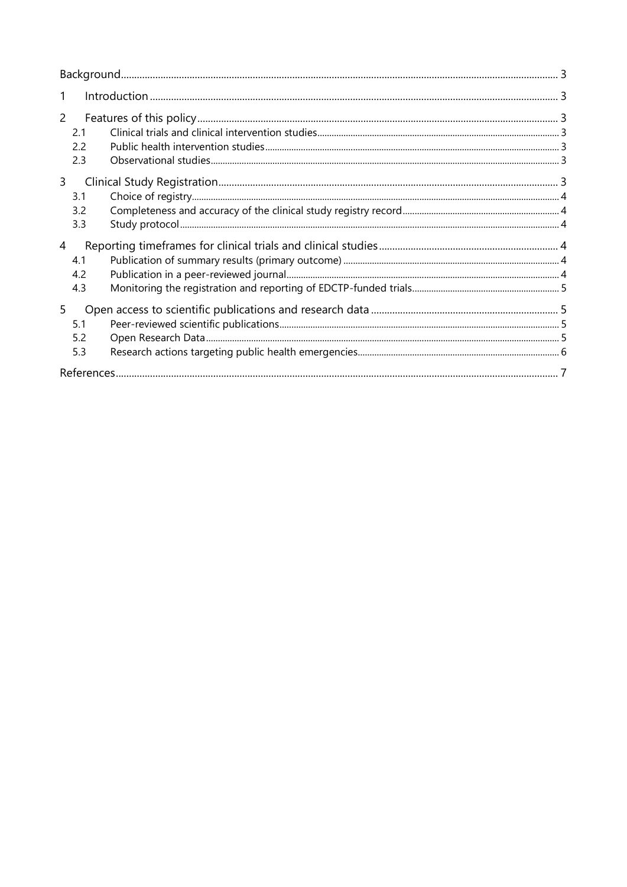| 1                                   |  |
|-------------------------------------|--|
| $\overline{2}$<br>2.1<br>2.2<br>2.3 |  |
| $\mathsf{3}$<br>3.1<br>3.2<br>3.3   |  |
| 4<br>4.1<br>4.2<br>4.3              |  |
| 5<br>5.1<br>5.2<br>5.3              |  |
|                                     |  |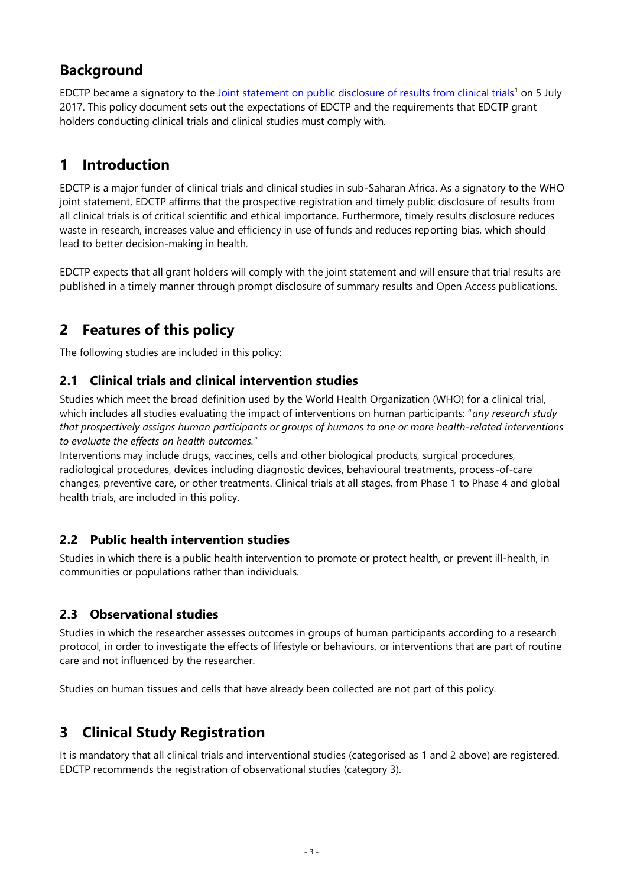## **Background**

EDCTP became a signatory to th[e Joint statement on public disclosure of results from clinical trials](https://www.who.int/ictrp/results/ICTRP_JointStatement_2017.pdf)<sup>1</sup> on 5 July 2017. This policy document sets out the expectations of EDCTP and the requirements that EDCTP grant holders conducting clinical trials and clinical studies must comply with.

## **1 Introduction**

EDCTP is a major funder of clinical trials and clinical studies in sub-Saharan Africa. As a signatory to the WHO joint statement, EDCTP affirms that the prospective registration and timely public disclosure of results from all clinical trials is of critical scientific and ethical importance. Furthermore, timely results disclosure reduces waste in research, increases value and efficiency in use of funds and reduces reporting bias, which should lead to better decision-making in health.

EDCTP expects that all grant holders will comply with the joint statement and will ensure that trial results are published in a timely manner through prompt disclosure of summary results and Open Access publications.

## **2 Features of this policy**

The following studies are included in this policy:

#### **2.1 Clinical trials and clinical intervention studies**

Studies which meet the broad definition used by the World Health Organization (WHO) for a clinical trial, which includes all studies evaluating the impact of interventions on human participants: "*any research study that prospectively assigns human participants or groups of humans to one or more health-related interventions to evaluate the effects on health outcomes.*"

Interventions may include drugs, vaccines, cells and other biological products, surgical procedures, radiological procedures, devices including diagnostic devices, behavioural treatments, process-of-care changes, preventive care, or other treatments. Clinical trials at all stages, from Phase 1 to Phase 4 and global health trials, are included in this policy.

#### **2.2 Public health intervention studies**

Studies in which there is a public health intervention to promote or protect health, or prevent ill-health, in communities or populations rather than individuals.

#### **2.3 Observational studies**

Studies in which the researcher assesses outcomes in groups of human participants according to a research protocol, in order to investigate the effects of lifestyle or behaviours, or interventions that are part of routine care and not influenced by the researcher.

Studies on human tissues and cells that have already been collected are not part of this policy.

## **3 Clinical Study Registration**

It is mandatory that all clinical trials and interventional studies (categorised as 1 and 2 above) are registered. EDCTP recommends the registration of observational studies (category 3).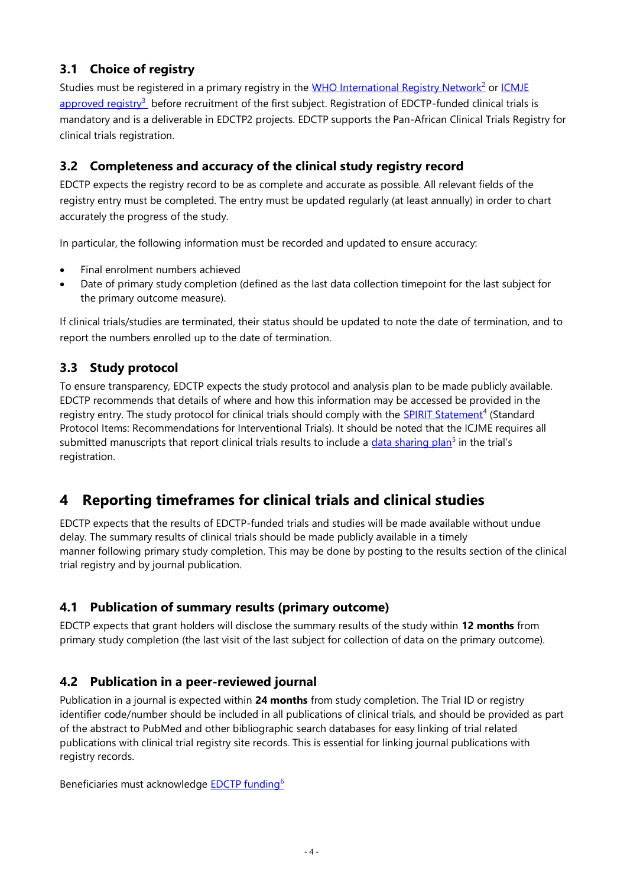#### **3.1 Choice of registry**

Studies must be registered in a primary registry in the [WHO International Registry Network](http://www.who.int/ictrp/network/primary/en/)<sup>2</sup> or *ICMJE* [approved registry](http://www.icmje.org/about-icmje/faqs/clinical-trials-registration/)<sup>3</sup> before recruitment of the first subject. Registration of EDCTP-funded clinical trials is mandatory and is a deliverable in EDCTP2 projects. EDCTP supports the Pan-African Clinical Trials Registry for clinical trials registration.

#### **3.2 Completeness and accuracy of the clinical study registry record**

EDCTP expects the registry record to be as complete and accurate as possible. All relevant fields of the registry entry must be completed. The entry must be updated regularly (at least annually) in order to chart accurately the progress of the study.

In particular, the following information must be recorded and updated to ensure accuracy:

- Final enrolment numbers achieved
- Date of primary study completion (defined as the last data collection timepoint for the last subject for the primary outcome measure).

If clinical trials/studies are terminated, their status should be updated to note the date of termination, and to report the numbers enrolled up to the date of termination.

#### **3.3 Study protocol**

To ensure transparency, EDCTP expects the study protocol and analysis plan to be made publicly available. EDCTP recommends that details of where and how this information may be accessed be provided in the registry entry. The study protocol for clinical trials should comply with the **SPIRIT Statement<sup>4</sup> (Standard** Protocol Items: Recommendations for Interventional Trials). It should be noted that the ICJME requires all submitted manuscripts that report clinical trials results to include a *data sharing plan<sup>5</sup>* in the trial's registration.

## **4 Reporting timeframes for clinical trials and clinical studies**

EDCTP expects that the results of EDCTP-funded trials and studies will be made available without undue delay. The summary results of clinical trials should be made publicly available in a timely manner following primary study completion. This may be done by posting to the results section of the clinical trial registry and by journal publication.

#### **4.1 Publication of summary results (primary outcome)**

EDCTP expects that grant holders will disclose the summary results of the study within **12 months** from primary study completion (the last visit of the last subject for collection of data on the primary outcome).

#### **4.2 Publication in a peer-reviewed journal**

Publication in a journal is expected within **24 months** from study completion. The Trial ID or registry identifier code/number should be included in all publications of clinical trials, and should be provided as part of the abstract to PubMed and other bibliographic search databases for easy linking of trial related publications with clinical trial registry site records. This is essential for linking journal publications with registry records.

Beneficiaries must acknowledge **EDCTP** funding<sup>6</sup>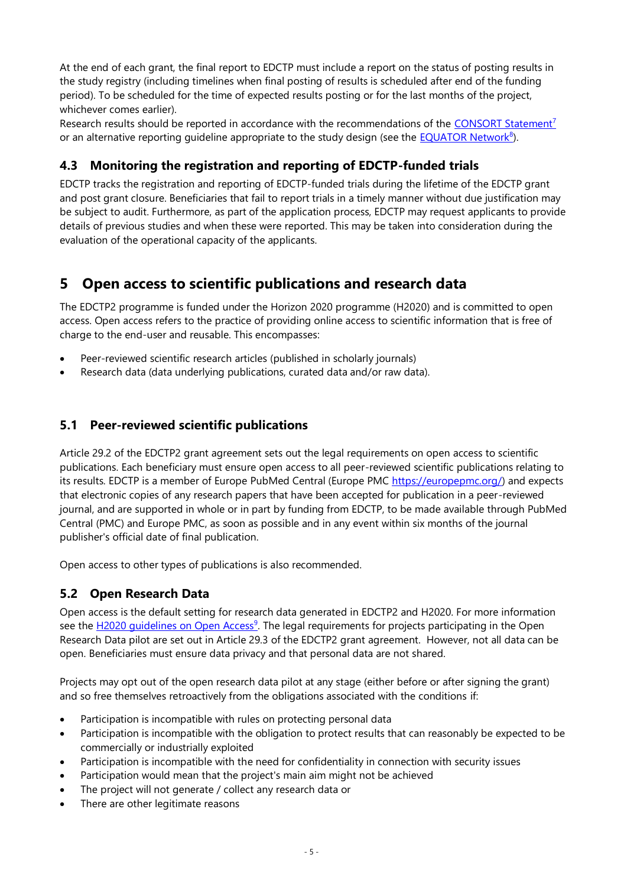At the end of each grant, the final report to EDCTP must include a report on the status of posting results in the study registry (including timelines when final posting of results is scheduled after end of the funding period). To be scheduled for the time of expected results posting or for the last months of the project, whichever comes earlier).

Research results should be reported in accordance with the recommendations of the [CONSORT Statement](http://www.consort-statement.org/)<sup>7</sup> or an alternative reporting guideline appropriate to the study design (see the **EQUATOR Network**<sup>8</sup>).

#### **4.3 Monitoring the registration and reporting of EDCTP-funded trials**

EDCTP tracks the registration and reporting of EDCTP-funded trials during the lifetime of the EDCTP grant and post grant closure. Beneficiaries that fail to report trials in a timely manner without due justification may be subject to audit. Furthermore, as part of the application process, EDCTP may request applicants to provide details of previous studies and when these were reported. This may be taken into consideration during the evaluation of the operational capacity of the applicants.

## **5 Open access to scientific publications and research data**

The EDCTP2 programme is funded under the Horizon 2020 programme (H2020) and is committed to open access. Open access refers to the practice of providing online access to scientific information that is free of charge to the end-user and reusable. This encompasses:

- Peer-reviewed scientific research articles (published in scholarly journals)
- Research data (data underlying publications, curated data and/or raw data).

#### **5.1 Peer-reviewed scientific publications**

Article 29.2 of the EDCTP2 grant agreement sets out the legal requirements on open access to scientific publications. Each beneficiary must ensure open access to all peer-reviewed scientific publications relating to its results. EDCTP is a member of Europe PubMed Central (Europe PMC [https://europepmc.org/\)](https://europepmc.org/) and expects that electronic copies of any research papers that have been accepted for publication in a peer-reviewed journal, and are supported in whole or in part by funding from EDCTP, to be made available through PubMed Central (PMC) and Europe PMC, as soon as possible and in any event within six months of the journal publisher's official date of final publication.

Open access to other types of publications is also recommended.

#### **5.2 Open Research Data**

Open access is the default setting for research data generated in EDCTP2 and H2020. For more information see the H2020 quidelines on Open Access<sup>9</sup>. The legal requirements for projects participating in the Open Research Data pilot are set out in Article 29.3 of the EDCTP2 grant agreement. However, not all data can be open. Beneficiaries must ensure data privacy and that personal data are not shared.

Projects may opt out of the open research data pilot at any stage (either before or after signing the grant) and so free themselves retroactively from the obligations associated with the conditions if:

- Participation is incompatible with rules on protecting personal data
- Participation is incompatible with the obligation to protect results that can reasonably be expected to be commercially or industrially exploited
- Participation is incompatible with the need for confidentiality in connection with security issues
- Participation would mean that the project's main aim might not be achieved
- The project will not generate / collect any research data or
- There are other legitimate reasons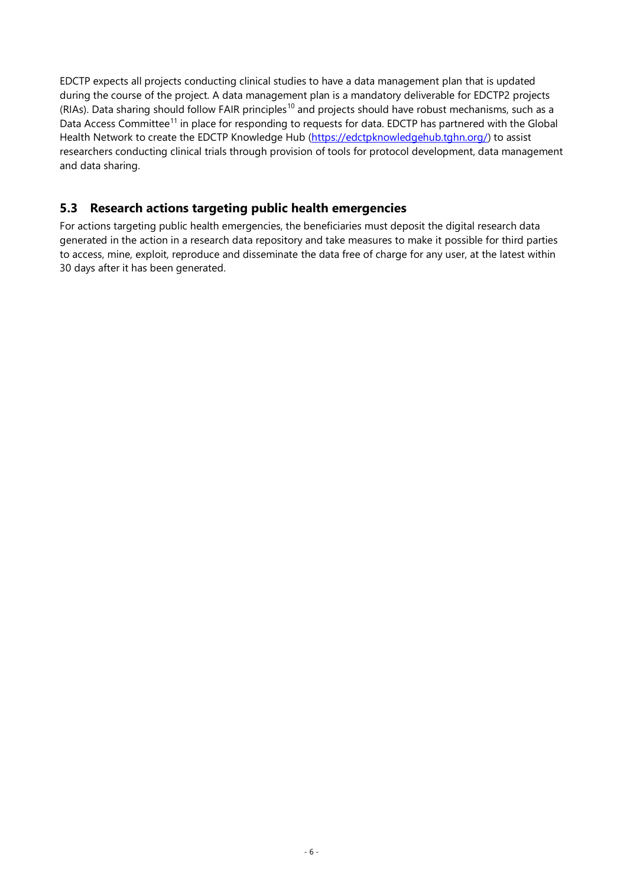EDCTP expects all projects conducting clinical studies to have a data management plan that is updated during the course of the project. A data management plan is a mandatory deliverable for EDCTP2 projects (RIAs). Data sharing should follow FAIR principles<sup>10</sup> and projects should have robust mechanisms, such as a Data Access Committee<sup>11</sup> in place for responding to requests for data. EDCTP has partnered with the Global Health Network to create the EDCTP Knowledge Hub [\(https://edctpknowledgehub.tghn.org/\)](https://edctpknowledgehub.tghn.org/) to assist researchers conducting clinical trials through provision of tools for protocol development, data management and data sharing.

#### **5.3 Research actions targeting public health emergencies**

For actions targeting public health emergencies, the beneficiaries must deposit the digital research data generated in the action in a research data repository and take measures to make it possible for third parties to access, mine, exploit, reproduce and disseminate the data free of charge for any user, at the latest within 30 days after it has been generated.